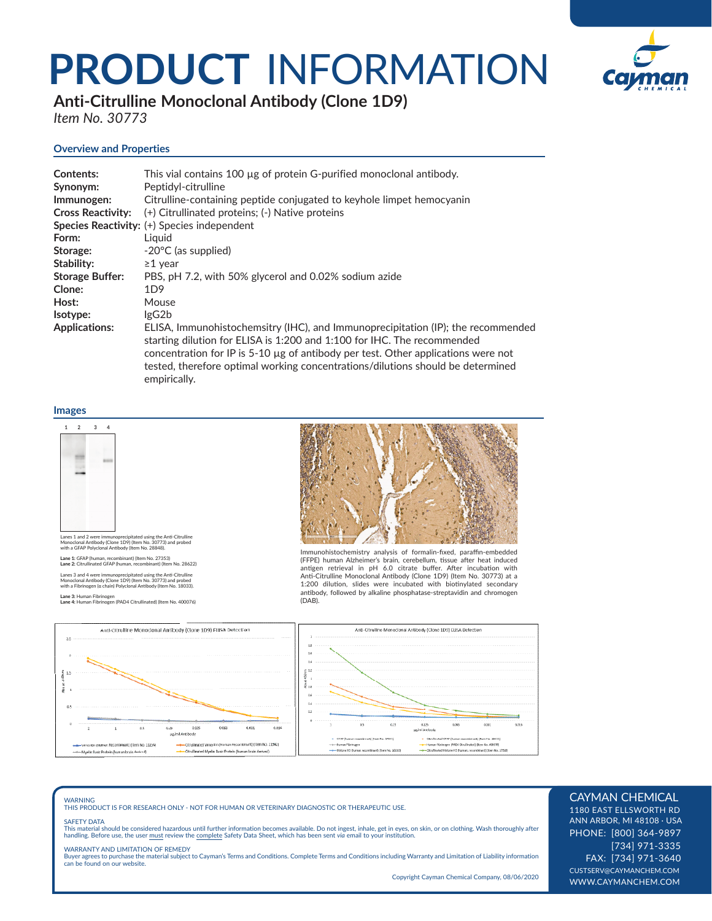## **PRODUCT** INFORMATION



**Anti-Citrulline Monoclonal Antibody (Clone 1D9)**

*Item No. 30773* 

### **Overview and Properties**

| <b>Contents:</b><br>Synonym: | This vial contains 100 µg of protein G-purified monoclonal antibody.<br>Peptidyl-citrulline                                                                                                                                                                                                                                                              |
|------------------------------|----------------------------------------------------------------------------------------------------------------------------------------------------------------------------------------------------------------------------------------------------------------------------------------------------------------------------------------------------------|
| Immunogen:                   | Citrulline-containing peptide conjugated to keyhole limpet hemocyanin                                                                                                                                                                                                                                                                                    |
| <b>Cross Reactivity:</b>     | (+) Citrullinated proteins; (-) Native proteins                                                                                                                                                                                                                                                                                                          |
|                              | Species Reactivity: (+) Species independent                                                                                                                                                                                                                                                                                                              |
| Form:                        | Liguid                                                                                                                                                                                                                                                                                                                                                   |
| Storage:                     | -20°C (as supplied)                                                                                                                                                                                                                                                                                                                                      |
| Stability:                   | $\geq$ 1 year                                                                                                                                                                                                                                                                                                                                            |
| <b>Storage Buffer:</b>       | PBS, pH 7.2, with 50% glycerol and 0.02% sodium azide                                                                                                                                                                                                                                                                                                    |
| Clone:                       | 1D9                                                                                                                                                                                                                                                                                                                                                      |
| Host:                        | Mouse                                                                                                                                                                                                                                                                                                                                                    |
| Isotype:                     | lgG2b                                                                                                                                                                                                                                                                                                                                                    |
| <b>Applications:</b>         | ELISA, Immunohistochemsitry (IHC), and Immunoprecipitation (IP); the recommended<br>starting dilution for ELISA is 1:200 and 1:100 for IHC. The recommended<br>concentration for IP is $5-10 \mu$ g of antibody per test. Other applications were not<br>tested, therefore optimal working concentrations/dilutions should be determined<br>empirically. |

#### **Images**



Lanes 1 and 2 were immunoprecipitated using the Anti-Citrulline<br>Monoclonal Antibody (Clone 1D9) (Item No. 30773) and probed<br>with a GFAP Polyclonal Antibody (Item No. 28848).

**Lane 1:** GFAP (human, recombinant) (Item No. 27353) **Lane 2:** Citrullinated GFAP (human, recombinant) (Item No. 28622)

Lanes 3 and 4 were immunoprecipitated using the Anti-Citrulline<br>Monoclonal Antibody (Clone 1D9) (Item No. 30773) and probed<br>with a Fibrinogen (α chain) Polyclonal Antibody (Item No. 18033).

**Lane 3:** Human Fibrinogen **Lane 4:** Human Fibrinogen (PAD4 Citrullinated) (Item No. 400076)



Immunohistochemistry analysis of formalin-fixed, paraffin-embedded (FFPE) human Alzheimer's brain, cerebellum, tissue after heat induced antigen retrieval in pH 6.0 citrate buffer. After incubation with Anti-Citrulline Monoclonal Antibody (Clone 1D9) (Item No. 30773) at a 1:200 dilution, slides were incubated with biotinylated secondary antibody, followed by alkaline phosphatase-streptavidin and chromoger (DAB).



WARNING THIS PRODUCT IS FOR RESEARCH ONLY - NOT FOR HUMAN OR VETERINARY DIAGNOSTIC OR THERAPEUTIC USE.

#### SAFETY DATA

This material should be considered hazardous until further information becomes available. Do not ingest, inhale, get in eyes, on skin, or on clothing. Wash thoroughly after<br>handling. Before use, the user must review the co

WARRANTY AND LIMITATION OF REMEDY Buyer agrees to purchase the material subject to Cayman's Terms and Conditions. Complete Terms and Conditions including Warranty and Limitation of Liability information can be found on our website.

Copyright Cayman Chemical Company, 08/06/2020

#### CAYMAN CHEMICAL

1180 EAST ELLSWORTH RD ANN ARBOR, MI 48108 · USA PHONE: [800] 364-9897 [734] 971-3335 FAX: [734] 971-3640 CUSTSERV@CAYMANCHEM.COM WWW.CAYMANCHEM.COM